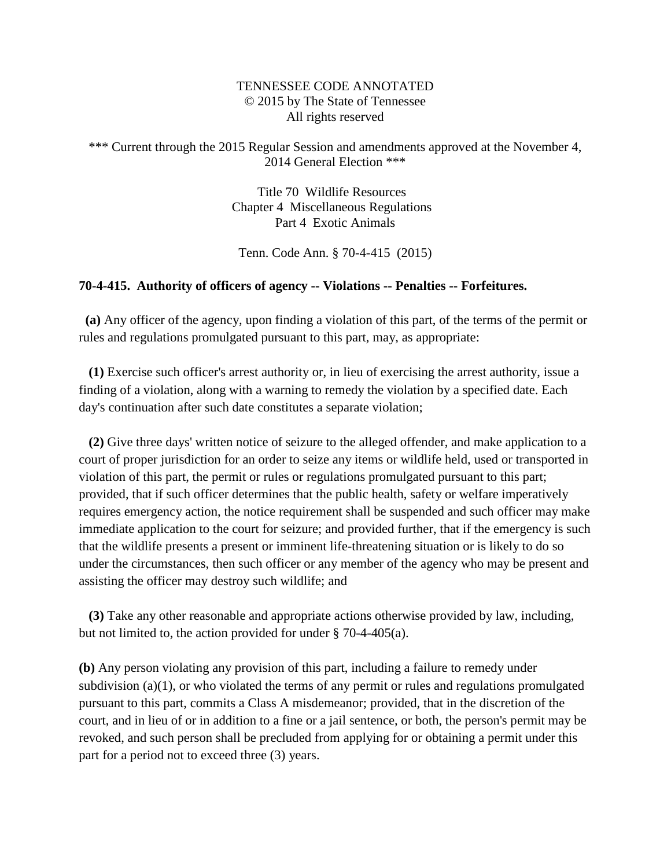## TENNESSEE CODE ANNOTATED © 2015 by The State of Tennessee All rights reserved

## \*\*\* Current through the 2015 Regular Session and amendments approved at the November 4, 2014 General Election \*\*\*

Title 70 Wildlife Resources Chapter 4 Miscellaneous Regulations Part 4 Exotic Animals

Tenn. Code Ann. § 70-4-415 (2015)

## **70-4-415. Authority of officers of agency -- Violations -- Penalties -- Forfeitures.**

 **(a)** Any officer of the agency, upon finding a violation of this part, of the terms of the permit or rules and regulations promulgated pursuant to this part, may, as appropriate:

 **(1)** Exercise such officer's arrest authority or, in lieu of exercising the arrest authority, issue a finding of a violation, along with a warning to remedy the violation by a specified date. Each day's continuation after such date constitutes a separate violation;

 **(2)** Give three days' written notice of seizure to the alleged offender, and make application to a court of proper jurisdiction for an order to seize any items or wildlife held, used or transported in violation of this part, the permit or rules or regulations promulgated pursuant to this part; provided, that if such officer determines that the public health, safety or welfare imperatively requires emergency action, the notice requirement shall be suspended and such officer may make immediate application to the court for seizure; and provided further, that if the emergency is such that the wildlife presents a present or imminent life-threatening situation or is likely to do so under the circumstances, then such officer or any member of the agency who may be present and assisting the officer may destroy such wildlife; and

 **(3)** Take any other reasonable and appropriate actions otherwise provided by law, including, but not limited to, the action provided for under § 70-4-405(a).

**(b)** Any person violating any provision of this part, including a failure to remedy under subdivision (a)(1), or who violated the terms of any permit or rules and regulations promulgated pursuant to this part, commits a Class A misdemeanor; provided, that in the discretion of the court, and in lieu of or in addition to a fine or a jail sentence, or both, the person's permit may be revoked, and such person shall be precluded from applying for or obtaining a permit under this part for a period not to exceed three (3) years.